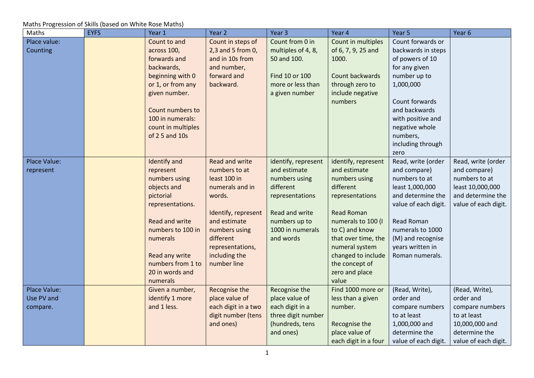| Maths        | <b>EYFS</b> | Year 1                | Year 2                | Year <sub>3</sub>   | Year 4               | Year 5               | Year <sub>6</sub>    |
|--------------|-------------|-----------------------|-----------------------|---------------------|----------------------|----------------------|----------------------|
| Place value: |             | Count to and          | Count in steps of     | Count from 0 in     | Count in multiples   | Count forwards or    |                      |
| Counting     |             | across 100,           | 2,3 and 5 from 0,     | multiples of 4, 8,  | of 6, 7, 9, 25 and   | backwards in steps   |                      |
|              |             | forwards and          | and in 10s from       | 50 and 100.         | 1000.                | of powers of 10      |                      |
|              |             | backwards,            | and number,           |                     |                      | for any given        |                      |
|              |             | beginning with 0      | forward and           | Find 10 or 100      | Count backwards      | number up to         |                      |
|              |             | or 1, or from any     | backward.             | more or less than   | through zero to      | 1,000,000            |                      |
|              |             | given number.         |                       | a given number      | include negative     |                      |                      |
|              |             |                       |                       |                     | numbers              | Count forwards       |                      |
|              |             | Count numbers to      |                       |                     |                      | and backwards        |                      |
|              |             | 100 in numerals:      |                       |                     |                      | with positive and    |                      |
|              |             | count in multiples    |                       |                     |                      | negative whole       |                      |
|              |             | of 2 5 and 10s        |                       |                     |                      | numbers,             |                      |
|              |             |                       |                       |                     |                      | including through    |                      |
|              |             |                       |                       |                     |                      | zero                 |                      |
| Place Value: |             | <b>Identify and</b>   | <b>Read and write</b> | identify, represent | identify, represent  | Read, write (order   | Read, write (order   |
| represent    |             | represent             | numbers to at         | and estimate        | and estimate         | and compare)         | and compare)         |
|              |             | numbers using         | least 100 in          | numbers using       | numbers using        | numbers to at        | numbers to at        |
|              |             | objects and           | numerals and in       | different           | different            | least 1,000,000      | least 10,000,000     |
|              |             | pictorial             | words.                | representations     | representations      | and determine the    | and determine the    |
|              |             | representations.      |                       |                     |                      | value of each digit. | value of each digit. |
|              |             |                       | Identify, represent   | Read and write      | <b>Read Roman</b>    |                      |                      |
|              |             | <b>Read and write</b> | and estimate          | numbers up to       | numerals to 100 (I   | <b>Read Roman</b>    |                      |
|              |             | numbers to 100 in     | numbers using         | 1000 in numerals    | to C) and know       | numerals to 1000     |                      |
|              |             | numerals              | different             | and words           | that over time, the  | (M) and recognise    |                      |
|              |             |                       | representations,      |                     | numeral system       | years written in     |                      |
|              |             | Read any write        | including the         |                     | changed to include   | Roman numerals.      |                      |
|              |             | numbers from 1 to     | number line           |                     | the concept of       |                      |                      |
|              |             | 20 in words and       |                       |                     | zero and place       |                      |                      |
|              |             | numerals              |                       |                     | value                |                      |                      |
| Place Value: |             | Given a number,       | Recognise the         | Recognise the       | Find 1000 more or    | (Read, Write),       | (Read, Write),       |
| Use PV and   |             | identify 1 more       | place value of        | place value of      | less than a given    | order and            | order and            |
| compare.     |             | and 1 less.           | each digit in a two   | each digit in a     | number.              | compare numbers      | compare numbers      |
|              |             |                       | digit number (tens    | three digit number  |                      | to at least          | to at least          |
|              |             |                       | and ones)             | (hundreds, tens     | Recognise the        | 1,000,000 and        | 10,000,000 and       |
|              |             |                       |                       | and ones)           | place value of       | determine the        | determine the        |
|              |             |                       |                       |                     | each digit in a four | value of each digit. | value of each digit. |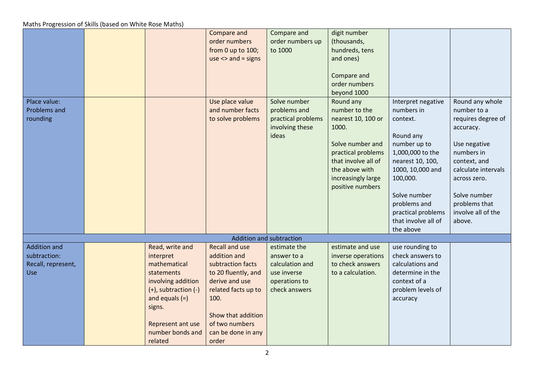|                                                                  |                                                                                                                                                                                                 | Compare and<br>order numbers<br>from 0 up to 100;<br>$use \leq and = signs$                                                                                                                               | Compare and<br>order numbers up<br>to 1000                                                      | digit number<br>(thousands,<br>hundreds, tens<br>and ones)<br>Compare and<br>order numbers<br>beyond 1000                                                                              |                                                                                                                                                                                                                                             |                                                                                                                                                                                                                         |
|------------------------------------------------------------------|-------------------------------------------------------------------------------------------------------------------------------------------------------------------------------------------------|-----------------------------------------------------------------------------------------------------------------------------------------------------------------------------------------------------------|-------------------------------------------------------------------------------------------------|----------------------------------------------------------------------------------------------------------------------------------------------------------------------------------------|---------------------------------------------------------------------------------------------------------------------------------------------------------------------------------------------------------------------------------------------|-------------------------------------------------------------------------------------------------------------------------------------------------------------------------------------------------------------------------|
| Place value:<br><b>Problems and</b><br>rounding                  |                                                                                                                                                                                                 | Use place value<br>and number facts<br>to solve problems                                                                                                                                                  | Solve number<br>problems and<br>practical problems<br>involving these<br>ideas                  | Round any<br>number to the<br>nearest 10, 100 or<br>1000.<br>Solve number and<br>practical problems<br>that involve all of<br>the above with<br>increasingly large<br>positive numbers | Interpret negative<br>numbers in<br>context.<br>Round any<br>number up to<br>1,000,000 to the<br>nearest 10, 100,<br>1000, 10,000 and<br>100,000.<br>Solve number<br>problems and<br>practical problems<br>that involve all of<br>the above | Round any whole<br>number to a<br>requires degree of<br>accuracy.<br>Use negative<br>numbers in<br>context, and<br>calculate intervals<br>across zero.<br>Solve number<br>problems that<br>involve all of the<br>above. |
|                                                                  |                                                                                                                                                                                                 |                                                                                                                                                                                                           | Addition and subtraction                                                                        |                                                                                                                                                                                        |                                                                                                                                                                                                                                             |                                                                                                                                                                                                                         |
| <b>Addition and</b><br>subtraction:<br>Recall, represent,<br>Use | Read, write and<br>interpret<br>mathematical<br>statements<br>involving addition<br>$(+)$ , subtraction $(-)$<br>and equals $(=)$<br>signs.<br>Represent ant use<br>number bonds and<br>related | <b>Recall and use</b><br>addition and<br>subtraction facts<br>to 20 fluently, and<br>derive and use<br>related facts up to<br>100.<br>Show that addition<br>of two numbers<br>can be done in any<br>order | estimate the<br>answer to a<br>calculation and<br>use inverse<br>operations to<br>check answers | estimate and use<br>inverse operations<br>to check answers<br>to a calculation.                                                                                                        | use rounding to<br>check answers to<br>calculations and<br>determine in the<br>context of a<br>problem levels of<br>accuracy                                                                                                                |                                                                                                                                                                                                                         |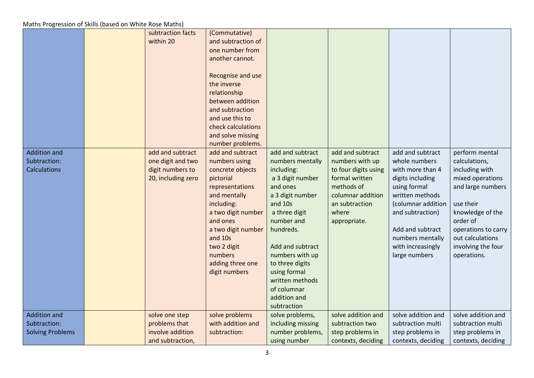|                         | subtraction facts<br>within 20 | (Commutative)                         |                             |                      |                    |                              |
|-------------------------|--------------------------------|---------------------------------------|-----------------------------|----------------------|--------------------|------------------------------|
|                         |                                | and subtraction of<br>one number from |                             |                      |                    |                              |
|                         |                                | another cannot.                       |                             |                      |                    |                              |
|                         |                                |                                       |                             |                      |                    |                              |
|                         |                                | Recognise and use                     |                             |                      |                    |                              |
|                         |                                | the inverse                           |                             |                      |                    |                              |
|                         |                                | relationship                          |                             |                      |                    |                              |
|                         |                                | between addition                      |                             |                      |                    |                              |
|                         |                                | and subtraction                       |                             |                      |                    |                              |
|                         |                                | and use this to                       |                             |                      |                    |                              |
|                         |                                | check calculations                    |                             |                      |                    |                              |
|                         |                                | and solve missing                     |                             |                      |                    |                              |
|                         |                                | number problems.                      |                             |                      |                    |                              |
| <b>Addition and</b>     | add and subtract               | add and subtract                      | add and subtract            | add and subtract     | add and subtract   | perform mental               |
| Subtraction:            | one digit and two              | numbers using                         | numbers mentally            | numbers with up      | whole numbers      | calculations,                |
| <b>Calculations</b>     | digit numbers to               | concrete objects                      | including:                  | to four digits using | with more than 4   | including with               |
|                         | 20, including zero             | pictorial                             | a 3 digit number            | formal written       | digits including   | mixed operations             |
|                         |                                | representations                       | and ones                    | methods of           | using formal       | and large numbers            |
|                         |                                | and mentally                          | a 3 digit number            | columnar addition    | written methods    |                              |
|                         |                                | including:                            | and 10s                     | an subtraction       | (columnar addition | use their                    |
|                         |                                | a two digit number<br>and ones        | a three digit<br>number and | where                | and subtraction)   | knowledge of the<br>order of |
|                         |                                | a two digit number                    | hundreds.                   | appropriate.         | Add and subtract   | operations to carry          |
|                         |                                | and 10s                               |                             |                      | numbers mentally   | out calculations             |
|                         |                                | two 2 digit                           | Add and subtract            |                      | with increasingly  | involving the four           |
|                         |                                | numbers                               | numbers with up             |                      | large numbers      | operations.                  |
|                         |                                | adding three one                      | to three digits             |                      |                    |                              |
|                         |                                | digit numbers                         | using formal                |                      |                    |                              |
|                         |                                |                                       | written methods             |                      |                    |                              |
|                         |                                |                                       | of columnar                 |                      |                    |                              |
|                         |                                |                                       | addition and                |                      |                    |                              |
|                         |                                |                                       | subtraction                 |                      |                    |                              |
| <b>Addition and</b>     | solve one step                 | solve problems                        | solve problems,             | solve addition and   | solve addition and | solve addition and           |
| Subtraction:            | problems that                  | with addition and                     | including missing           | subtraction two      | subtraction multi  | subtraction multi            |
| <b>Solving Problems</b> | involve addition               | subtraction:                          | number problems,            | step problems in     | step problems in   | step problems in             |
|                         | and subtraction,               |                                       | using number                | contexts, deciding   | contexts, deciding | contexts, deciding           |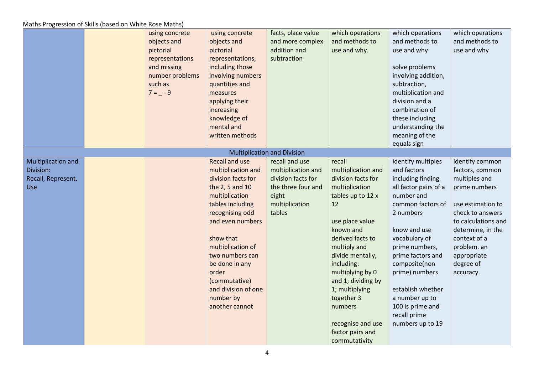|                                                              | using concrete<br>objects and<br>pictorial<br>representations<br>and missing<br>number problems<br>such as<br>$7 = -9$ | using concrete<br>objects and<br>pictorial<br>representations,<br>including those<br>involving numbers<br>quantities and<br>measures<br>applying their<br>increasing<br>knowledge of<br>mental and<br>written methods                                                                                                    | facts, place value<br>and more complex<br>addition and<br>subtraction                                                 | which operations<br>and methods to<br>use and why.                                                                                                                                                                                                                                                                                                   | which operations<br>and methods to<br>use and why<br>solve problems<br>involving addition,<br>subtraction,<br>multiplication and<br>division and a<br>combination of<br>these including<br>understanding the<br>meaning of the<br>equals sign                                                                                             | which operations<br>and methods to<br>use and why                                                                                                                                                                                 |
|--------------------------------------------------------------|------------------------------------------------------------------------------------------------------------------------|--------------------------------------------------------------------------------------------------------------------------------------------------------------------------------------------------------------------------------------------------------------------------------------------------------------------------|-----------------------------------------------------------------------------------------------------------------------|------------------------------------------------------------------------------------------------------------------------------------------------------------------------------------------------------------------------------------------------------------------------------------------------------------------------------------------------------|-------------------------------------------------------------------------------------------------------------------------------------------------------------------------------------------------------------------------------------------------------------------------------------------------------------------------------------------|-----------------------------------------------------------------------------------------------------------------------------------------------------------------------------------------------------------------------------------|
|                                                              |                                                                                                                        |                                                                                                                                                                                                                                                                                                                          | <b>Multiplication and Division</b>                                                                                    |                                                                                                                                                                                                                                                                                                                                                      |                                                                                                                                                                                                                                                                                                                                           |                                                                                                                                                                                                                                   |
| Multiplication and<br>Division:<br>Recall, Represent,<br>Use |                                                                                                                        | <b>Recall and use</b><br>multiplication and<br>division facts for<br>the 2, 5 and 10<br>multiplication<br>tables including<br>recognising odd<br>and even numbers<br>show that<br>multiplication of<br>two numbers can<br>be done in any<br>order<br>(commutative)<br>and division of one<br>number by<br>another cannot | recall and use<br>multiplication and<br>division facts for<br>the three four and<br>eight<br>multiplication<br>tables | recall<br>multiplication and<br>division facts for<br>multiplication<br>tables up to 12 x<br>12<br>use place value<br>known and<br>derived facts to<br>multiply and<br>divide mentally,<br>including:<br>multiplying by 0<br>and 1; dividing by<br>1; multiplying<br>together 3<br>numbers<br>recognise and use<br>factor pairs and<br>commutativity | identify multiples<br>and factors<br>including finding<br>all factor pairs of a<br>number and<br>common factors of<br>2 numbers<br>know and use<br>vocabulary of<br>prime numbers,<br>prime factors and<br>composite(non<br>prime) numbers<br>establish whether<br>a number up to<br>100 is prime and<br>recall prime<br>numbers up to 19 | identify common<br>factors, common<br>multiples and<br>prime numbers<br>use estimation to<br>check to answers<br>to calculations and<br>determine, in the<br>context of a<br>problem. an<br>appropriate<br>degree of<br>accuracy. |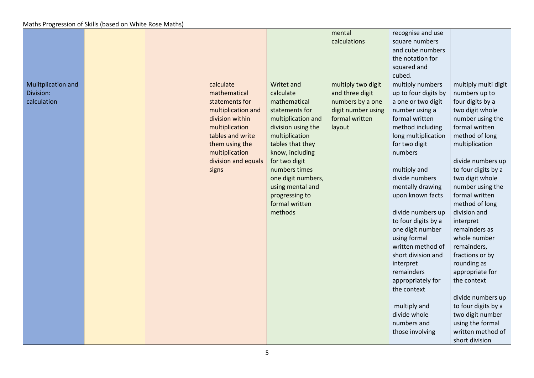|                    |  |                     |                    | mental             | recognise and use    |                      |
|--------------------|--|---------------------|--------------------|--------------------|----------------------|----------------------|
|                    |  |                     |                    | calculations       | square numbers       |                      |
|                    |  |                     |                    |                    | and cube numbers     |                      |
|                    |  |                     |                    |                    | the notation for     |                      |
|                    |  |                     |                    |                    | squared and          |                      |
|                    |  |                     |                    |                    | cubed.               |                      |
| Mulitplication and |  | calculate           | Writet and         | multiply two digit | multiply numbers     | multiply multi digit |
| Division:          |  | mathematical        | calculate          | and three digit    | up to four digits by | numbers up to        |
| calculation        |  | statements for      | mathematical       | numbers by a one   | a one or two digit   | four digits by a     |
|                    |  | multiplication and  | statements for     | digit number using | number using a       | two digit whole      |
|                    |  | division within     | multiplication and | formal written     | formal written       | number using the     |
|                    |  | multiplication      | division using the | layout             | method including     | formal written       |
|                    |  | tables and write    | multiplication     |                    | long multiplication  | method of long       |
|                    |  | them using the      | tables that they   |                    | for two digit        | multiplication       |
|                    |  | multiplication      | know, including    |                    | numbers              |                      |
|                    |  | division and equals | for two digit      |                    |                      | divide numbers up    |
|                    |  | signs               | numbers times      |                    | multiply and         | to four digits by a  |
|                    |  |                     | one digit numbers, |                    | divide numbers       | two digit whole      |
|                    |  |                     | using mental and   |                    | mentally drawing     | number using the     |
|                    |  |                     | progressing to     |                    | upon known facts     | formal written       |
|                    |  |                     | formal written     |                    |                      | method of long       |
|                    |  |                     | methods            |                    | divide numbers up    | division and         |
|                    |  |                     |                    |                    | to four digits by a  | interpret            |
|                    |  |                     |                    |                    | one digit number     | remainders as        |
|                    |  |                     |                    |                    | using formal         | whole number         |
|                    |  |                     |                    |                    | written method of    | remainders,          |
|                    |  |                     |                    |                    | short division and   | fractions or by      |
|                    |  |                     |                    |                    | interpret            | rounding as          |
|                    |  |                     |                    |                    | remainders           | appropriate for      |
|                    |  |                     |                    |                    | appropriately for    | the context          |
|                    |  |                     |                    |                    | the context          |                      |
|                    |  |                     |                    |                    |                      | divide numbers up    |
|                    |  |                     |                    |                    | multiply and         | to four digits by a  |
|                    |  |                     |                    |                    | divide whole         | two digit number     |
|                    |  |                     |                    |                    | numbers and          | using the formal     |
|                    |  |                     |                    |                    | those involving      | written method of    |
|                    |  |                     |                    |                    |                      | short division       |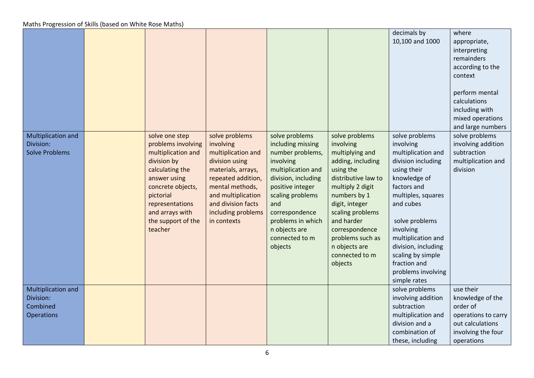|                                                           |                                                                                                                                                                                                                       |                                                                                                                                                                                                                     |                                                                                                                                                                                                                                                       |                                                                                                                                                                                                                                                                                     | decimals by<br>10,100 and 1000                                                                                                                                                                                                                                                                                  | where<br>appropriate,<br>interpreting<br>remainders<br>according to the<br>context<br>perform mental<br>calculations<br>including with<br>mixed operations<br>and large numbers |
|-----------------------------------------------------------|-----------------------------------------------------------------------------------------------------------------------------------------------------------------------------------------------------------------------|---------------------------------------------------------------------------------------------------------------------------------------------------------------------------------------------------------------------|-------------------------------------------------------------------------------------------------------------------------------------------------------------------------------------------------------------------------------------------------------|-------------------------------------------------------------------------------------------------------------------------------------------------------------------------------------------------------------------------------------------------------------------------------------|-----------------------------------------------------------------------------------------------------------------------------------------------------------------------------------------------------------------------------------------------------------------------------------------------------------------|---------------------------------------------------------------------------------------------------------------------------------------------------------------------------------|
| Multiplication and<br>Division:<br><b>Solve Problems</b>  | solve one step<br>problems involving<br>multiplication and<br>division by<br>calculating the<br>answer using<br>concrete objects,<br>pictorial<br>representations<br>and arrays with<br>the support of the<br>teacher | solve problems<br>involving<br>multiplication and<br>division using<br>materials, arrays,<br>repeated addition,<br>mental methods,<br>and multiplication<br>and division facts<br>including problems<br>in contexts | solve problems<br>including missing<br>number problems,<br>involving<br>multiplication and<br>division, including<br>positive integer<br>scaling problems<br>and<br>correspondence<br>problems in which<br>n objects are<br>connected to m<br>objects | solve problems<br>involving<br>multiplying and<br>adding, including<br>using the<br>distributive law to<br>multiply 2 digit<br>numbers by 1<br>digit, integer<br>scaling problems<br>and harder<br>correspondence<br>problems such as<br>n objects are<br>connected to m<br>objects | solve problems<br>involving<br>multiplication and<br>division including<br>using their<br>knowledge of<br>factors and<br>multiples, squares<br>and cubes<br>solve problems<br>involving<br>multiplication and<br>division, including<br>scaling by simple<br>fraction and<br>problems involving<br>simple rates | solve problems<br>involving addition<br>subtraction<br>multiplication and<br>division                                                                                           |
| Multiplication and<br>Division:<br>Combined<br>Operations |                                                                                                                                                                                                                       |                                                                                                                                                                                                                     |                                                                                                                                                                                                                                                       |                                                                                                                                                                                                                                                                                     | solve problems<br>involving addition<br>subtraction<br>multiplication and<br>division and a<br>combination of<br>these, including                                                                                                                                                                               | use their<br>knowledge of the<br>order of<br>operations to carry<br>out calculations<br>involving the four<br>operations                                                        |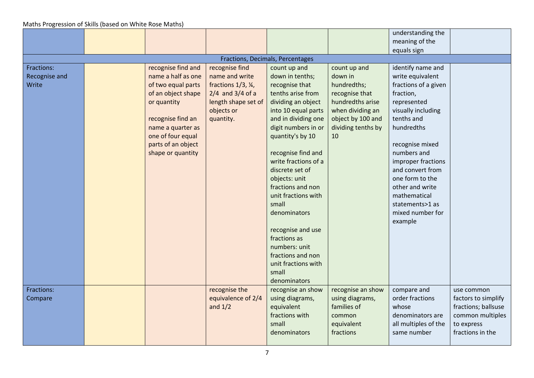|               |                    |                                   |                                  |                    | understanding the    |                     |
|---------------|--------------------|-----------------------------------|----------------------------------|--------------------|----------------------|---------------------|
|               |                    |                                   |                                  |                    | meaning of the       |                     |
|               |                    |                                   |                                  |                    | equals sign          |                     |
|               |                    |                                   | Fractions, Decimals, Percentages |                    |                      |                     |
| Fractions:    | recognise find and | recognise find                    | count up and                     | count up and       | identify name and    |                     |
| Recognise and | name a half as one | name and write                    | down in tenths;                  | down in            | write equivalent     |                     |
| Write         | of two equal parts | fractions $1/3$ , $\frac{1}{4}$ , | recognise that                   | hundredths;        | fractions of a given |                     |
|               | of an object shape | $2/4$ and $3/4$ of a              | tenths arise from                | recognise that     | fraction,            |                     |
|               | or quantity        | length shape set of               | dividing an object               | hundredths arise   | represented          |                     |
|               |                    | objects or                        | into 10 equal parts              | when dividing an   | visually including   |                     |
|               | recognise find an  | quantity.                         | and in dividing one              | object by 100 and  | tenths and           |                     |
|               | name a quarter as  |                                   | digit numbers in or              | dividing tenths by | hundredths           |                     |
|               | one of four equal  |                                   | quantity's by 10                 | 10                 |                      |                     |
|               | parts of an object |                                   |                                  |                    | recognise mixed      |                     |
|               | shape or quantity  |                                   | recognise find and               |                    | numbers and          |                     |
|               |                    |                                   | write fractions of a             |                    | improper fractions   |                     |
|               |                    |                                   | discrete set of                  |                    | and convert from     |                     |
|               |                    |                                   | objects: unit                    |                    | one form to the      |                     |
|               |                    |                                   | fractions and non                |                    | other and write      |                     |
|               |                    |                                   | unit fractions with              |                    | mathematical         |                     |
|               |                    |                                   | small                            |                    | statements>1 as      |                     |
|               |                    |                                   | denominators                     |                    | mixed number for     |                     |
|               |                    |                                   |                                  |                    | example              |                     |
|               |                    |                                   | recognise and use                |                    |                      |                     |
|               |                    |                                   | fractions as                     |                    |                      |                     |
|               |                    |                                   | numbers: unit                    |                    |                      |                     |
|               |                    |                                   | fractions and non                |                    |                      |                     |
|               |                    |                                   | unit fractions with              |                    |                      |                     |
|               |                    |                                   | small                            |                    |                      |                     |
|               |                    |                                   | denominators                     |                    |                      |                     |
| Fractions:    |                    | recognise the                     | recognise an show                | recognise an show  | compare and          | use common          |
| Compare       |                    | equivalence of 2/4                | using diagrams,                  | using diagrams,    | order fractions      | factors to simplify |
|               |                    | and $1/2$                         | equivalent                       | families of        | whose                | fractions; ballsuse |
|               |                    |                                   | fractions with                   | common             | denominators are     | common multiples    |
|               |                    |                                   | small                            | equivalent         | all multiples of the | to express          |
|               |                    |                                   | denominators                     | fractions          | same number          | fractions in the    |
|               |                    |                                   |                                  |                    |                      |                     |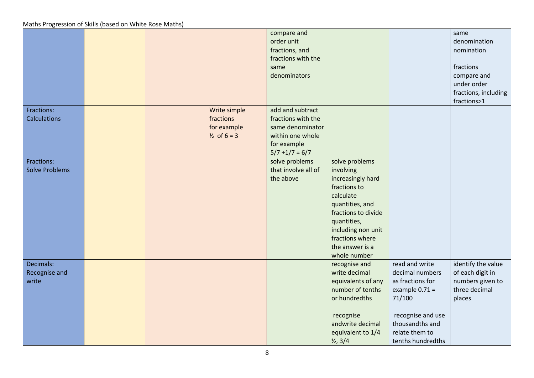|                                     |  |                                                                    | compare and<br>order unit<br>fractions, and<br>fractions with the<br>same<br>denominators                          |                                                                                                                                                                                                                    |                                                                                                                                                                    | same<br>denomination<br>nomination<br>fractions<br>compare and<br>under order<br>fractions, including<br>fractions>1 |
|-------------------------------------|--|--------------------------------------------------------------------|--------------------------------------------------------------------------------------------------------------------|--------------------------------------------------------------------------------------------------------------------------------------------------------------------------------------------------------------------|--------------------------------------------------------------------------------------------------------------------------------------------------------------------|----------------------------------------------------------------------------------------------------------------------|
| Fractions:<br><b>Calculations</b>   |  | Write simple<br>fractions<br>for example<br>$\frac{1}{2}$ of 6 = 3 | add and subtract<br>fractions with the<br>same denominator<br>within one whole<br>for example<br>$5/7 + 1/7 = 6/7$ |                                                                                                                                                                                                                    |                                                                                                                                                                    |                                                                                                                      |
| Fractions:<br><b>Solve Problems</b> |  |                                                                    | solve problems<br>that involve all of<br>the above                                                                 | solve problems<br>involving<br>increasingly hard<br>fractions to<br>calculate<br>quantities, and<br>fractions to divide<br>quantities,<br>including non unit<br>fractions where<br>the answer is a<br>whole number |                                                                                                                                                                    |                                                                                                                      |
| Decimals:<br>Recognise and<br>write |  |                                                                    |                                                                                                                    | recognise and<br>write decimal<br>equivalents of any<br>number of tenths<br>or hundredths<br>recognise<br>andwrite decimal<br>equivalent to 1/4<br>$\frac{1}{2}$ , 3/4                                             | read and write<br>decimal numbers<br>as fractions for<br>example $0.71 =$<br>71/100<br>recognise and use<br>thousandths and<br>relate them to<br>tenths hundredths | identify the value<br>of each digit in<br>numbers given to<br>three decimal<br>places                                |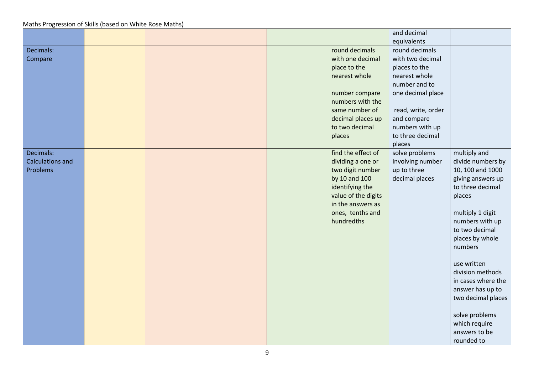|                         |  |  |                     | and decimal        |                    |
|-------------------------|--|--|---------------------|--------------------|--------------------|
|                         |  |  |                     | equivalents        |                    |
| Decimals:               |  |  | round decimals      | round decimals     |                    |
| Compare                 |  |  | with one decimal    | with two decimal   |                    |
|                         |  |  | place to the        | places to the      |                    |
|                         |  |  | nearest whole       | nearest whole      |                    |
|                         |  |  |                     | number and to      |                    |
|                         |  |  | number compare      | one decimal place  |                    |
|                         |  |  | numbers with the    |                    |                    |
|                         |  |  | same number of      | read, write, order |                    |
|                         |  |  | decimal places up   | and compare        |                    |
|                         |  |  | to two decimal      | numbers with up    |                    |
|                         |  |  | places              | to three decimal   |                    |
|                         |  |  |                     | places             |                    |
| Decimals:               |  |  | find the effect of  | solve problems     | multiply and       |
| <b>Calculations and</b> |  |  | dividing a one or   | involving number   | divide numbers by  |
| Problems                |  |  | two digit number    | up to three        | 10, 100 and 1000   |
|                         |  |  | by 10 and 100       | decimal places     | giving answers up  |
|                         |  |  | identifying the     |                    | to three decimal   |
|                         |  |  | value of the digits |                    | places             |
|                         |  |  | in the answers as   |                    |                    |
|                         |  |  | ones, tenths and    |                    | multiply 1 digit   |
|                         |  |  | hundredths          |                    | numbers with up    |
|                         |  |  |                     |                    | to two decimal     |
|                         |  |  |                     |                    | places by whole    |
|                         |  |  |                     |                    | numbers            |
|                         |  |  |                     |                    | use written        |
|                         |  |  |                     |                    | division methods   |
|                         |  |  |                     |                    | in cases where the |
|                         |  |  |                     |                    | answer has up to   |
|                         |  |  |                     |                    | two decimal places |
|                         |  |  |                     |                    |                    |
|                         |  |  |                     |                    | solve problems     |
|                         |  |  |                     |                    | which require      |
|                         |  |  |                     |                    | answers to be      |
|                         |  |  |                     |                    | rounded to         |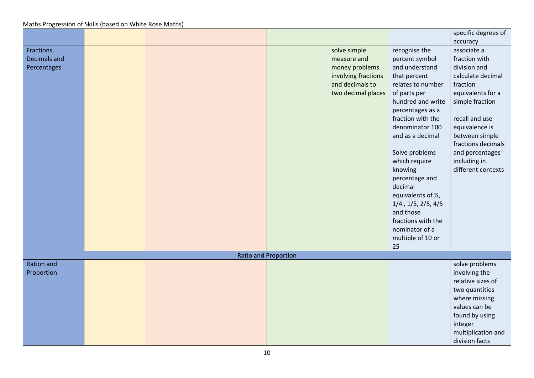|                   |  |                             |                                        |                               | specific degrees of |
|-------------------|--|-----------------------------|----------------------------------------|-------------------------------|---------------------|
|                   |  |                             |                                        |                               | accuracy            |
| Fractions,        |  |                             | solve simple                           | recognise the                 | associate a         |
| Decimals and      |  |                             | measure and                            | percent symbol                | fraction with       |
| Percentages       |  |                             | money problems                         | and understand                | division and        |
|                   |  |                             |                                        | that percent                  | calculate decimal   |
|                   |  |                             | involving fractions<br>and decimals to | relates to number             | fraction            |
|                   |  |                             |                                        |                               |                     |
|                   |  |                             | two decimal places                     | of parts per                  | equivalents for a   |
|                   |  |                             |                                        | hundred and write             | simple fraction     |
|                   |  |                             |                                        | percentages as a              |                     |
|                   |  |                             |                                        | fraction with the             | recall and use      |
|                   |  |                             |                                        | denominator 100               | equivalence is      |
|                   |  |                             |                                        | and as a decimal              | between simple      |
|                   |  |                             |                                        |                               | fractions decimals  |
|                   |  |                             |                                        | Solve problems                | and percentages     |
|                   |  |                             |                                        | which require                 | including in        |
|                   |  |                             |                                        | knowing                       | different contexts  |
|                   |  |                             |                                        | percentage and                |                     |
|                   |  |                             |                                        | decimal                       |                     |
|                   |  |                             |                                        | equivalents of 1/2,           |                     |
|                   |  |                             |                                        | $1/4$ , $1/5$ , $2/5$ , $4/5$ |                     |
|                   |  |                             |                                        | and those                     |                     |
|                   |  |                             |                                        | fractions with the            |                     |
|                   |  |                             |                                        | nominator of a                |                     |
|                   |  |                             |                                        | multiple of 10 or             |                     |
|                   |  |                             |                                        | 25                            |                     |
|                   |  | <b>Ratio and Proportion</b> |                                        |                               |                     |
| <b>Ration and</b> |  |                             |                                        |                               | solve problems      |
| Proportion        |  |                             |                                        |                               | involving the       |
|                   |  |                             |                                        |                               | relative sizes of   |
|                   |  |                             |                                        |                               |                     |
|                   |  |                             |                                        |                               | two quantities      |
|                   |  |                             |                                        |                               | where missing       |
|                   |  |                             |                                        |                               | values can be       |
|                   |  |                             |                                        |                               | found by using      |
|                   |  |                             |                                        |                               | integer             |
|                   |  |                             |                                        |                               | multiplication and  |
|                   |  |                             |                                        |                               | division facts      |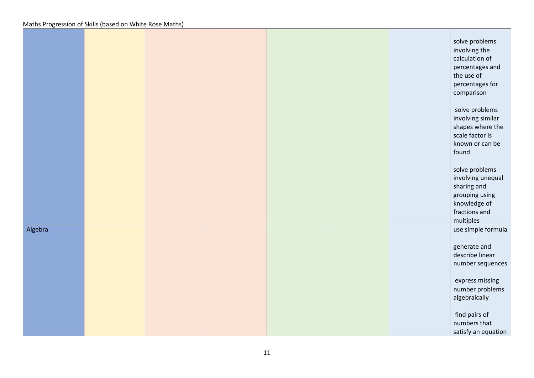|         |  |  |  | solve problems<br>involving the<br>calculation of<br>percentages and<br>the use of<br>percentages for<br>comparison<br>solve problems<br>involving similar<br>shapes where the<br>scale factor is<br>known or can be<br>found<br>solve problems<br>involving unequal<br>sharing and<br>grouping using<br>knowledge of |
|---------|--|--|--|-----------------------------------------------------------------------------------------------------------------------------------------------------------------------------------------------------------------------------------------------------------------------------------------------------------------------|
|         |  |  |  | fractions and<br>multiples                                                                                                                                                                                                                                                                                            |
| Algebra |  |  |  | use simple formula<br>generate and<br>describe linear<br>number sequences<br>express missing<br>number problems<br>algebraically<br>find pairs of<br>numbers that<br>satisfy an equation                                                                                                                              |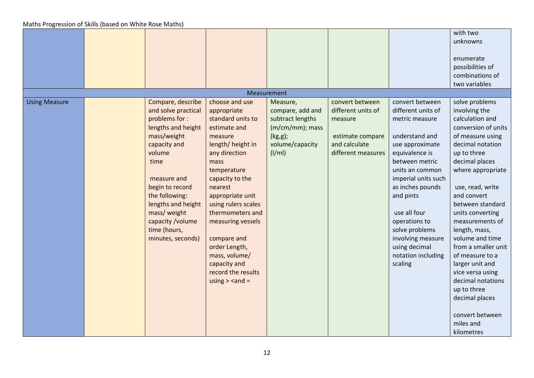|                                                                                                                                                                                                                                                                                                              |                                                                                                                                                                                                                                                                                                                                                                                                                                                                                                                                                                                                                                                                                                                                                                                                                                                                                                                                                                                                                                                                                                                                                                                                                                                                                                                                                                                                                                                                                                                                                                      |                                                                                                                    |                                                                                                             |                                                                                                                                                                                                                                                                                                                                       | with two<br>unknowns<br>enumerate<br>possibilities of<br>combinations of<br>two variables                                                                                                                                                                                                                                                                                                                                                                                                      |
|--------------------------------------------------------------------------------------------------------------------------------------------------------------------------------------------------------------------------------------------------------------------------------------------------------------|----------------------------------------------------------------------------------------------------------------------------------------------------------------------------------------------------------------------------------------------------------------------------------------------------------------------------------------------------------------------------------------------------------------------------------------------------------------------------------------------------------------------------------------------------------------------------------------------------------------------------------------------------------------------------------------------------------------------------------------------------------------------------------------------------------------------------------------------------------------------------------------------------------------------------------------------------------------------------------------------------------------------------------------------------------------------------------------------------------------------------------------------------------------------------------------------------------------------------------------------------------------------------------------------------------------------------------------------------------------------------------------------------------------------------------------------------------------------------------------------------------------------------------------------------------------------|--------------------------------------------------------------------------------------------------------------------|-------------------------------------------------------------------------------------------------------------|---------------------------------------------------------------------------------------------------------------------------------------------------------------------------------------------------------------------------------------------------------------------------------------------------------------------------------------|------------------------------------------------------------------------------------------------------------------------------------------------------------------------------------------------------------------------------------------------------------------------------------------------------------------------------------------------------------------------------------------------------------------------------------------------------------------------------------------------|
|                                                                                                                                                                                                                                                                                                              |                                                                                                                                                                                                                                                                                                                                                                                                                                                                                                                                                                                                                                                                                                                                                                                                                                                                                                                                                                                                                                                                                                                                                                                                                                                                                                                                                                                                                                                                                                                                                                      | Measurement                                                                                                        |                                                                                                             |                                                                                                                                                                                                                                                                                                                                       |                                                                                                                                                                                                                                                                                                                                                                                                                                                                                                |
| Compare, describe<br><b>Using Measure</b><br>and solve practical<br>problems for :<br>lengths and height<br>mass/weight<br>capacity and<br>volume<br>time<br>measure and<br>begin to record<br>the following:<br>lengths and height<br>mass/ weight<br>capacity /volume<br>time (hours,<br>minutes, seconds) | choose and use<br>appropriate<br>standard units to<br>estimate and<br>measure<br>length/height in<br>any direction<br>mass<br>temperature<br>capacity to the<br>nearest<br>appropriate unit<br>using rulers scales<br>thermometers and<br>measuring vessels<br>compare and<br>order Length,<br>mass, volume/<br>capacity and<br>record the results<br>using $>$ <and =<="" th=""><th>Measure,<br/>compare, add and<br/>subtract lengths<br/><math>(m/cm/mm)</math>; mass<br/><math>(kg, g)</math>;<br/>volume/capacity<br/>(1/m1)</th><th>convert between<br/>different units of<br/>measure<br/>estimate compare<br/>and calculate<br/>different measures</th><th>convert between<br/>different units of<br/>metric measure<br/>understand and<br/>use approximate<br/>equivalence is<br/>between metric<br/>units an common<br/>imperial units such<br/>as inches pounds<br/>and pints<br/>use all four<br/>operations to<br/>solve problems<br/>involving measure<br/>using decimal<br/>notation including<br/>scaling</th><th>solve problems<br/>involving the<br/>calculation and<br/>conversion of units<br/>of measure using<br/>decimal notation<br/>up to three<br/>decimal places<br/>where appropriate<br/>use, read, write<br/>and convert<br/>between standard<br/>units converting<br/>measurements of<br/>length, mass,<br/>volume and time<br/>from a smaller unit<br/>of measure to a<br/>larger unit and<br/>vice versa using<br/>decimal notations<br/>up to three<br/>decimal places<br/>convert between<br/>miles and<br/>kilometres</th></and> | Measure,<br>compare, add and<br>subtract lengths<br>$(m/cm/mm)$ ; mass<br>$(kg, g)$ ;<br>volume/capacity<br>(1/m1) | convert between<br>different units of<br>measure<br>estimate compare<br>and calculate<br>different measures | convert between<br>different units of<br>metric measure<br>understand and<br>use approximate<br>equivalence is<br>between metric<br>units an common<br>imperial units such<br>as inches pounds<br>and pints<br>use all four<br>operations to<br>solve problems<br>involving measure<br>using decimal<br>notation including<br>scaling | solve problems<br>involving the<br>calculation and<br>conversion of units<br>of measure using<br>decimal notation<br>up to three<br>decimal places<br>where appropriate<br>use, read, write<br>and convert<br>between standard<br>units converting<br>measurements of<br>length, mass,<br>volume and time<br>from a smaller unit<br>of measure to a<br>larger unit and<br>vice versa using<br>decimal notations<br>up to three<br>decimal places<br>convert between<br>miles and<br>kilometres |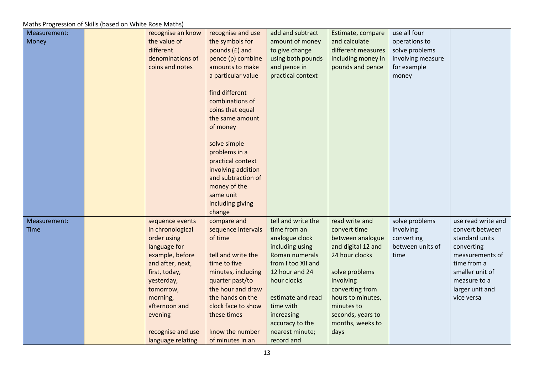| Measurement: | recognise an know         | recognise and use                      | add and subtract               | Estimate, compare               | use all four      |                    |
|--------------|---------------------------|----------------------------------------|--------------------------------|---------------------------------|-------------------|--------------------|
| Money        | the value of              | the symbols for                        | amount of money                | and calculate                   | operations to     |                    |
|              | different                 | pounds (£) and                         | to give change                 | different measures              | solve problems    |                    |
|              | denominations of          | pence (p) combine                      | using both pounds              | including money in              | involving measure |                    |
|              | coins and notes           | amounts to make                        | and pence in                   | pounds and pence                | for example       |                    |
|              |                           | a particular value                     | practical context              |                                 | money             |                    |
|              |                           |                                        |                                |                                 |                   |                    |
|              |                           | find different                         |                                |                                 |                   |                    |
|              |                           | combinations of                        |                                |                                 |                   |                    |
|              |                           | coins that equal                       |                                |                                 |                   |                    |
|              |                           | the same amount                        |                                |                                 |                   |                    |
|              |                           | of money                               |                                |                                 |                   |                    |
|              |                           |                                        |                                |                                 |                   |                    |
|              |                           | solve simple                           |                                |                                 |                   |                    |
|              |                           | problems in a                          |                                |                                 |                   |                    |
|              |                           | practical context                      |                                |                                 |                   |                    |
|              |                           | involving addition                     |                                |                                 |                   |                    |
|              |                           | and subtraction of                     |                                |                                 |                   |                    |
|              |                           | money of the                           |                                |                                 |                   |                    |
|              |                           | same unit                              |                                |                                 |                   |                    |
|              |                           | including giving                       |                                |                                 |                   |                    |
|              |                           | change                                 |                                |                                 |                   |                    |
| Measurement: | sequence events           | compare and                            | tell and write the             | read write and                  | solve problems    | use read write and |
| <b>Time</b>  | in chronological          | sequence intervals                     | time from an                   | convert time                    | involving         | convert between    |
|              | order using               | of time                                | analogue clock                 | between analogue                | converting        | standard units     |
|              | language for              |                                        | including using                | and digital 12 and              | between units of  | converting         |
|              | example, before           | tell and write the                     | Roman numerals                 | 24 hour clocks                  | time              | measurements of    |
|              | and after, next,          | time to five                           | from I too XII and             |                                 |                   | time from a        |
|              | first, today,             | minutes, including                     | 12 hour and 24                 | solve problems                  |                   | smaller unit of    |
|              | yesterday,                | quarter past/to                        | hour clocks                    | involving                       |                   | measure to a       |
|              | tomorrow,                 | the hour and draw                      |                                | converting from                 |                   | larger unit and    |
|              | morning,<br>afternoon and | the hands on the<br>clock face to show | estimate and read<br>time with | hours to minutes,<br>minutes to |                   | vice versa         |
|              | evening                   | these times                            | increasing                     | seconds, years to               |                   |                    |
|              |                           |                                        | accuracy to the                | months, weeks to                |                   |                    |
|              | recognise and use         | know the number                        | nearest minute;                |                                 |                   |                    |
|              | language relating         | of minutes in an                       | record and                     | days                            |                   |                    |
|              |                           |                                        |                                |                                 |                   |                    |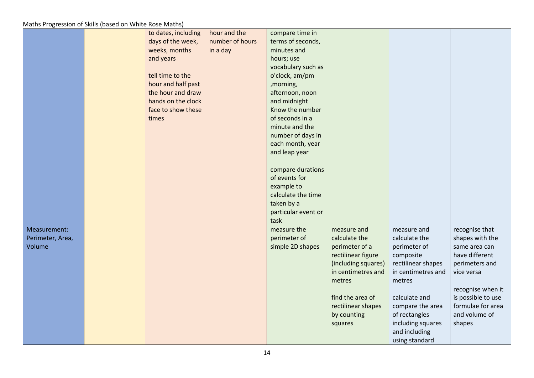|                                            | to dates, including<br>days of the week,<br>weeks, months<br>and years<br>tell time to the<br>hour and half past<br>the hour and draw<br>hands on the clock<br>face to show these<br>times | hour and the<br>number of hours<br>in a day | compare time in<br>terms of seconds,<br>minutes and<br>hours; use<br>vocabulary such as<br>o'clock, am/pm<br>,morning,<br>afternoon, noon<br>and midnight<br>Know the number<br>of seconds in a<br>minute and the<br>number of days in<br>each month, year<br>and leap year<br>compare durations<br>of events for<br>example to<br>calculate the time<br>taken by a<br>particular event or<br>task |                                                                                                                                                                                                 |                                                                                                                                                                                                                               |                                                                                                                                                                                                 |
|--------------------------------------------|--------------------------------------------------------------------------------------------------------------------------------------------------------------------------------------------|---------------------------------------------|----------------------------------------------------------------------------------------------------------------------------------------------------------------------------------------------------------------------------------------------------------------------------------------------------------------------------------------------------------------------------------------------------|-------------------------------------------------------------------------------------------------------------------------------------------------------------------------------------------------|-------------------------------------------------------------------------------------------------------------------------------------------------------------------------------------------------------------------------------|-------------------------------------------------------------------------------------------------------------------------------------------------------------------------------------------------|
| Measurement:<br>Perimeter, Area,<br>Volume |                                                                                                                                                                                            |                                             | measure the<br>perimeter of<br>simple 2D shapes                                                                                                                                                                                                                                                                                                                                                    | measure and<br>calculate the<br>perimeter of a<br>rectilinear figure<br>(including squares)<br>in centimetres and<br>metres<br>find the area of<br>rectilinear shapes<br>by counting<br>squares | measure and<br>calculate the<br>perimeter of<br>composite<br>rectilinear shapes<br>in centimetres and<br>metres<br>calculate and<br>compare the area<br>of rectangles<br>including squares<br>and including<br>using standard | recognise that<br>shapes with the<br>same area can<br>have different<br>perimeters and<br>vice versa<br>recognise when it<br>is possible to use<br>formulae for area<br>and volume of<br>shapes |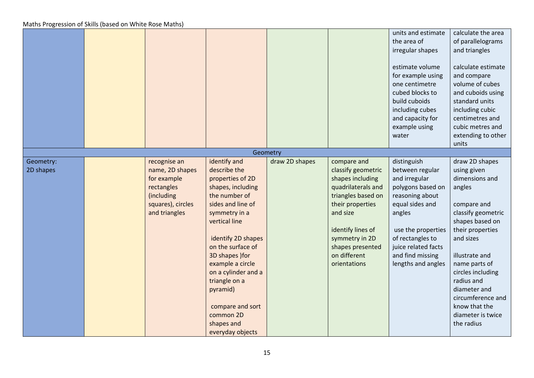|                        |                                                                                                                  |                                                                                                                                                                                                                                                                                                                                                        |                |                                                                                                                                                                                                                              | units and estimate<br>the area of<br>irregular shapes<br>estimate volume<br>for example using<br>one centimetre<br>cubed blocks to<br>build cuboids<br>including cubes<br>and capacity for<br>example using<br>water            | calculate the area<br>of parallelograms<br>and triangles<br>calculate estimate<br>and compare<br>volume of cubes<br>and cuboids using<br>standard units<br>including cubic<br>centimetres and<br>cubic metres and<br>extending to other<br>units                                                                  |
|------------------------|------------------------------------------------------------------------------------------------------------------|--------------------------------------------------------------------------------------------------------------------------------------------------------------------------------------------------------------------------------------------------------------------------------------------------------------------------------------------------------|----------------|------------------------------------------------------------------------------------------------------------------------------------------------------------------------------------------------------------------------------|---------------------------------------------------------------------------------------------------------------------------------------------------------------------------------------------------------------------------------|-------------------------------------------------------------------------------------------------------------------------------------------------------------------------------------------------------------------------------------------------------------------------------------------------------------------|
|                        |                                                                                                                  |                                                                                                                                                                                                                                                                                                                                                        | Geometry       |                                                                                                                                                                                                                              |                                                                                                                                                                                                                                 |                                                                                                                                                                                                                                                                                                                   |
| Geometry:<br>2D shapes | recognise an<br>name, 2D shapes<br>for example<br>rectangles<br>(including<br>squares), circles<br>and triangles | identify and<br>describe the<br>properties of 2D<br>shapes, including<br>the number of<br>sides and line of<br>symmetry in a<br>vertical line<br>identify 2D shapes<br>on the surface of<br>3D shapes ) for<br>example a circle<br>on a cylinder and a<br>triangle on a<br>pyramid)<br>compare and sort<br>common 2D<br>shapes and<br>everyday objects | draw 2D shapes | compare and<br>classify geometric<br>shapes including<br>quadrilaterals and<br>triangles based on<br>their properties<br>and size<br>identify lines of<br>symmetry in 2D<br>shapes presented<br>on different<br>orientations | distinguish<br>between regular<br>and irregular<br>polygons based on<br>reasoning about<br>equal sides and<br>angles<br>use the properties<br>of rectangles to<br>juice related facts<br>and find missing<br>lengths and angles | draw 2D shapes<br>using given<br>dimensions and<br>angles<br>compare and<br>classify geometric<br>shapes based on<br>their properties<br>and sizes<br>illustrate and<br>name parts of<br>circles including<br>radius and<br>diameter and<br>circumference and<br>know that the<br>diameter is twice<br>the radius |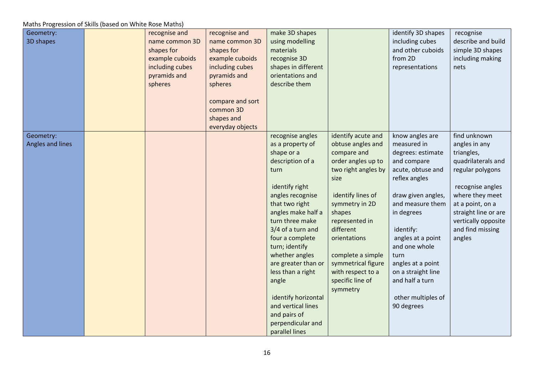| Geometry:<br>3D shapes        | recognise and<br>name common 3D<br>shapes for<br>example cuboids<br>including cubes<br>pyramids and<br>spheres | recognise and<br>name common 3D<br>shapes for<br>example cuboids<br>including cubes<br>pyramids and<br>spheres<br>compare and sort<br>common 3D | make 3D shapes<br>using modelling<br>materials<br>recognise 3D<br>shapes in different<br>orientations and<br>describe them                                                                                                                                                                                                                                                                                           |                                                                                                                                                                                                                                                                                                             | identify 3D shapes<br>including cubes<br>and other cuboids<br>from 2D<br>representations                                                                                                                                                                                                                                      | recognise<br>describe and build<br>simple 3D shapes<br>including making<br>nets                                                                                                                                               |
|-------------------------------|----------------------------------------------------------------------------------------------------------------|-------------------------------------------------------------------------------------------------------------------------------------------------|----------------------------------------------------------------------------------------------------------------------------------------------------------------------------------------------------------------------------------------------------------------------------------------------------------------------------------------------------------------------------------------------------------------------|-------------------------------------------------------------------------------------------------------------------------------------------------------------------------------------------------------------------------------------------------------------------------------------------------------------|-------------------------------------------------------------------------------------------------------------------------------------------------------------------------------------------------------------------------------------------------------------------------------------------------------------------------------|-------------------------------------------------------------------------------------------------------------------------------------------------------------------------------------------------------------------------------|
|                               |                                                                                                                | shapes and                                                                                                                                      |                                                                                                                                                                                                                                                                                                                                                                                                                      |                                                                                                                                                                                                                                                                                                             |                                                                                                                                                                                                                                                                                                                               |                                                                                                                                                                                                                               |
| Geometry:<br>Angles and lines |                                                                                                                | everyday objects                                                                                                                                | recognise angles<br>as a property of<br>shape or a<br>description of a<br>turn<br>identify right<br>angles recognise<br>that two right<br>angles make half a<br>turn three make<br>3/4 of a turn and<br>four a complete<br>turn; identify<br>whether angles<br>are greater than or<br>less than a right<br>angle<br>identify horizontal<br>and vertical lines<br>and pairs of<br>perpendicular and<br>parallel lines | identify acute and<br>obtuse angles and<br>compare and<br>order angles up to<br>two right angles by<br>size<br>identify lines of<br>symmetry in 2D<br>shapes<br>represented in<br>different<br>orientations<br>complete a simple<br>symmetrical figure<br>with respect to a<br>specific line of<br>symmetry | know angles are<br>measured in<br>degrees: estimate<br>and compare<br>acute, obtuse and<br>reflex angles<br>draw given angles,<br>and measure them<br>in degrees<br>identify:<br>angles at a point<br>and one whole<br>turn<br>angles at a point<br>on a straight line<br>and half a turn<br>other multiples of<br>90 degrees | find unknown<br>angles in any<br>triangles,<br>quadrilaterals and<br>regular polygons<br>recognise angles<br>where they meet<br>at a point, on a<br>straight line or are<br>vertically opposite<br>and find missing<br>angles |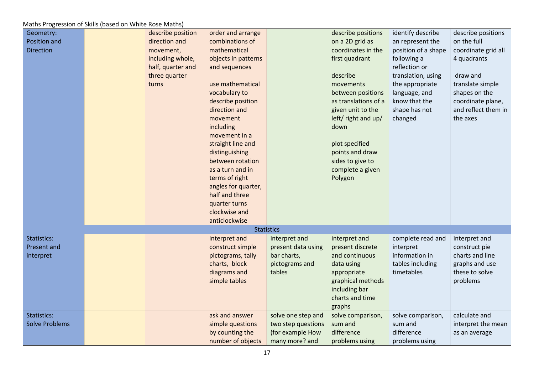| Geometry:             | describe position | order and arrange   |                    | describe positions   | identify describe   | describe positions  |
|-----------------------|-------------------|---------------------|--------------------|----------------------|---------------------|---------------------|
| Position and          | direction and     | combinations of     |                    | on a 2D grid as      | an represent the    | on the full         |
| <b>Direction</b>      | movement,         | mathematical        |                    | coordinates in the   | position of a shape | coordinate grid all |
|                       | including whole,  | objects in patterns |                    | first quadrant       | following a         | 4 quadrants         |
|                       | half, quarter and | and sequences       |                    |                      | reflection or       |                     |
|                       | three quarter     |                     |                    | describe             | translation, using  | draw and            |
|                       | turns             | use mathematical    |                    | movements            | the appropriate     | translate simple    |
|                       |                   | vocabulary to       |                    | between positions    | language, and       | shapes on the       |
|                       |                   | describe position   |                    | as translations of a | know that the       | coordinate plane,   |
|                       |                   | direction and       |                    | given unit to the    | shape has not       | and reflect them in |
|                       |                   | movement            |                    | left/ right and up/  | changed             | the axes            |
|                       |                   | including           |                    | down                 |                     |                     |
|                       |                   | movement in a       |                    |                      |                     |                     |
|                       |                   | straight line and   |                    | plot specified       |                     |                     |
|                       |                   | distinguishing      |                    | points and draw      |                     |                     |
|                       |                   | between rotation    |                    | sides to give to     |                     |                     |
|                       |                   | as a turn and in    |                    | complete a given     |                     |                     |
|                       |                   | terms of right      |                    | Polygon              |                     |                     |
|                       |                   | angles for quarter, |                    |                      |                     |                     |
|                       |                   | half and three      |                    |                      |                     |                     |
|                       |                   | quarter turns       |                    |                      |                     |                     |
|                       |                   | clockwise and       |                    |                      |                     |                     |
|                       |                   | anticlockwise       |                    |                      |                     |                     |
|                       |                   |                     | <b>Statistics</b>  |                      |                     |                     |
| Statistics:           |                   | interpret and       | interpret and      | interpret and        | complete read and   | interpret and       |
| Present and           |                   | construct simple    | present data using | present discrete     | interpret           | construct pie       |
| interpret             |                   | pictograms, tally   | bar charts,        | and continuous       | information in      | charts and line     |
|                       |                   | charts, block       | pictograms and     | data using           | tables including    | graphs and use      |
|                       |                   | diagrams and        | tables             | appropriate          | timetables          | these to solve      |
|                       |                   | simple tables       |                    | graphical methods    |                     | problems            |
|                       |                   |                     |                    | including bar        |                     |                     |
|                       |                   |                     |                    | charts and time      |                     |                     |
|                       |                   |                     |                    | graphs               |                     |                     |
| Statistics:           |                   | ask and answer      | solve one step and | solve comparison,    | solve comparison,   | calculate and       |
| <b>Solve Problems</b> |                   | simple questions    | two step questions | sum and              | sum and             | interpret the mean  |
|                       |                   | by counting the     | (for example How   | difference           | difference          | as an average       |
|                       |                   | number of objects   | many more? and     | problems using       | problems using      |                     |